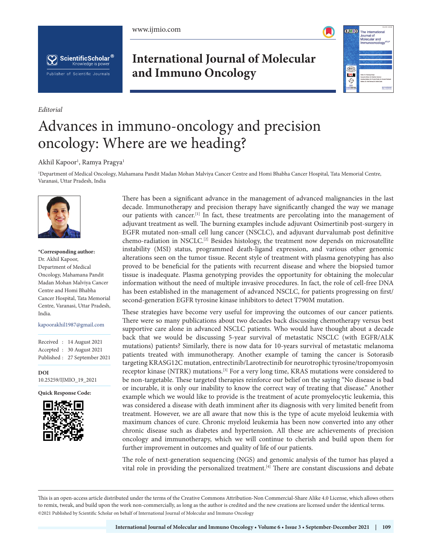





**International Journal of Molecular and Immuno Oncology**



## Advances in immuno-oncology and precision oncology: Where are we heading?

## Akhil Kapoor<sup>1</sup>, Ramya Pragya<sup>1</sup>

1 Department of Medical Oncology, Mahamana Pandit Madan Mohan Malviya Cancer Centre and Homi Bhabha Cancer Hospital, Tata Memorial Centre, Varanasi, Uttar Pradesh, India



*Editorial*

**\*Corresponding author:** Dr. Akhil Kapoor, Department of Medical Oncology, Mahamana Pandit Madan Mohan Malviya Cancer Centre and Homi Bhabha Cancer Hospital, Tata Memorial Centre, Varanasi, Uttar Pradesh, India.

kapoorakhil1987@gmail.com

Received : 14 August 2021 Accepted : 30 August 2021 Published : 27 September 2021

**DOI** [10.25259/IJMIO\\_19\\_2021](https://dx.doi.org/10.25259/IJMIO_19_2021)

**Quick Response Code:**



There has been a significant advance in the management of advanced malignancies in the last decade. Immunotherapy and precision therapy have significantly changed the way we manage our patients with cancer.<sup>[1]</sup> In fact, these treatments are percolating into the management of adjuvant treatment as well. The burning examples include adjuvant Osimertinib post-surgery in EGFR mutated non-small cell lung cancer (NSCLC), and adjuvant durvalumab post definitive chemo-radiation in NSCLC.<sup>[2]</sup> Besides histology, the treatment now depends on microsatellite instability (MSI) status, programmed death-ligand expression, and various other genomic alterations seen on the tumor tissue. Recent style of treatment with plasma genotyping has also proved to be beneficial for the patients with recurrent disease and where the biopsied tumor tissue is inadequate. Plasma genotyping provides the opportunity for obtaining the molecular information without the need of multiple invasive procedures. In fact, the role of cell-free DNA has been established in the management of advanced NSCLC, for patients progressing on first/ second-generation EGFR tyrosine kinase inhibitors to detect T790M mutation.

These strategies have become very useful for improving the outcomes of our cancer patients. There were so many publications about two decades back discussing chemotherapy versus best supportive care alone in advanced NSCLC patients. Who would have thought about a decade back that we would be discussing 5-year survival of metastatic NSCLC (with EGFR/ALK mutations) patients? Similarly, there is now data for 10-years survival of metastatic melanoma patients treated with immunotherapy. Another example of taming the cancer is Sotorasib targeting KRASG12C mutation, entrectinib/Larotrectinib for neurotrophic tyrosine/tropomyosin receptor kinase (NTRK) mutations.[3] For a very long time, KRAS mutations were considered to be non-targetable. These targeted therapies reinforce our belief on the saying "No disease is bad or incurable, it is only our inability to know the correct way of treating that disease." Another example which we would like to provide is the treatment of acute promyelocytic leukemia, this was considered a disease with death imminent after its diagnosis with very limited benefit from treatment. However, we are all aware that now this is the type of acute myeloid leukemia with maximum chances of cure. Chronic myeloid leukemia has been now converted into any other chronic disease such as diabetes and hypertension. All these are achievements of precision oncology and immunotherapy, which we will continue to cherish and build upon them for further improvement in outcomes and quality of life of our patients.

The role of next-generation sequencing (NGS) and genomic analysis of the tumor has played a vital role in providing the personalized treatment.[4] There are constant discussions and debate

This is an open-access article distributed under the terms of the Creative Commons Attribution-Non Commercial-Share Alike 4.0 License, which allows others to remix, tweak, and build upon the work non-commercially, as long as the author is credited and the new creations are licensed under the identical terms. ©2021 Published by Scientific Scholar on behalf of International Journal of Molecular and Immuno Oncology